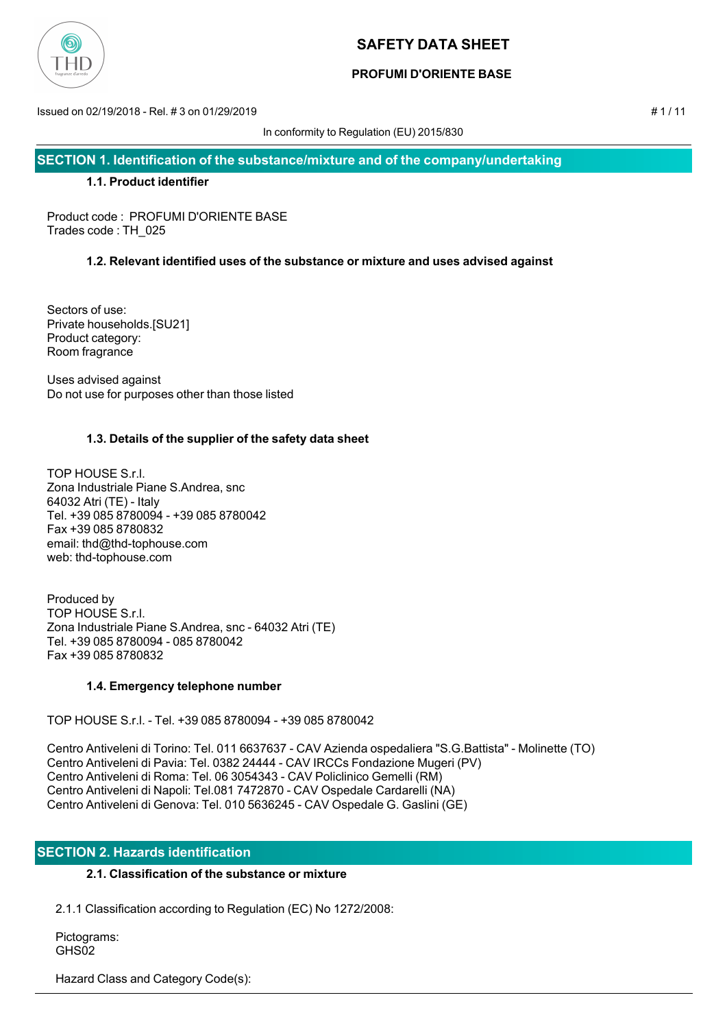

## **PROFUMI D'ORIENTE BASE**

Issued on 02/19/2018 - Rel. # 3 on 01/29/2019 # 1 / 11

In conformity to Regulation (EU) 2015/830

**SECTION 1. Identification of the substance/mixture and of the company/undertaking**

### **1.1. Product identifier**

Product code : PROFUMI D'ORIENTE BASE Trades code : TH\_025

## **1.2. Relevant identified uses of the substance or mixture and uses advised against**

Sectors of use: Private households.[SU21] Product category: Room fragrance

Uses advised against Do not use for purposes other than those listed

## **1.3. Details of the supplier of the safety data sheet**

TOP HOUSE S.r.l. Zona Industriale Piane S.Andrea, snc 64032 Atri (TE) - Italy Tel. +39 085 8780094 - +39 085 8780042 Fax +39 085 8780832 email: thd@thd-tophouse.com web: thd-tophouse.com

Produced by TOP HOUSE S.r.l. Zona Industriale Piane S.Andrea, snc - 64032 Atri (TE) Tel. +39 085 8780094 - 085 8780042 Fax +39 085 8780832

### **1.4. Emergency telephone number**

TOP HOUSE S.r.l. - Tel. +39 085 8780094 - +39 085 8780042

Centro Antiveleni di Torino: Tel. 011 6637637 - CAV Azienda ospedaliera "S.G.Battista" - Molinette (TO) Centro Antiveleni di Pavia: Tel. 0382 24444 - CAV IRCCs Fondazione Mugeri (PV) Centro Antiveleni di Roma: Tel. 06 3054343 - CAV Policlinico Gemelli (RM) Centro Antiveleni di Napoli: Tel.081 7472870 - CAV Ospedale Cardarelli (NA) Centro Antiveleni di Genova: Tel. 010 5636245 - CAV Ospedale G. Gaslini (GE)

## **SECTION 2. Hazards identification**

## **2.1. Classification of the substance or mixture**

2.1.1 Classification according to Regulation (EC) No 1272/2008:

 Pictograms: GHS<sub>02</sub>

Hazard Class and Category Code(s):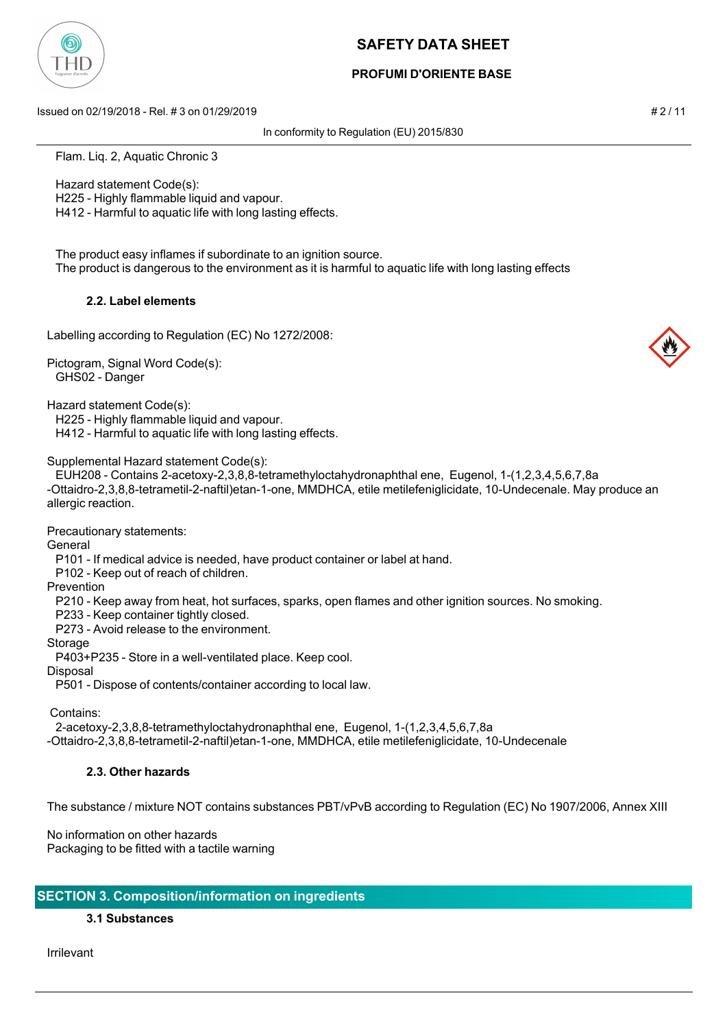

## **PROFUMI D'ORIENTE BASE**

Issued on 02/19/2018 - Rel. # 3 on 01/29/2019 # 2 / 11

In conformity to Regulation (EU) 2015/830

Flam. Liq. 2, Aquatic Chronic 3

Hazard statement Code(s):

H225 - Highly flammable liquid and vapour.

H412 - Harmful to aquatic life with long lasting effects.

 The product easy inflames if subordinate to an ignition source. The product is dangerous to the environment as it is harmful to aquatic life with long lasting effects

## **2.2. Label elements**

Labelling according to Regulation (EC) No 1272/2008:

Pictogram, Signal Word Code(s): GHS02 - Danger

Hazard statement Code(s):

H225 - Highly flammable liquid and vapour.

H412 - Harmful to aquatic life with long lasting effects.

Supplemental Hazard statement Code(s):

 EUH208 - Contains 2-acetoxy-2,3,8,8-tetramethyloctahydronaphthal ene, Eugenol, 1-(1,2,3,4,5,6,7,8a -Ottaidro-2,3,8,8-tetrametil-2-naftil)etan-1-one, MMDHCA, etile metilefeniglicidate, 10-Undecenale. May produce an allergic reaction.

Precautionary statements:

General

P101 - If medical advice is needed, have product container or label at hand.

P102 - Keep out of reach of children.

Prevention

P210 - Keep away from heat, hot surfaces, sparks, open flames and other ignition sources. No smoking.

P233 - Keep container tightly closed.

P273 - Avoid release to the environment.

Storage

P403+P235 - Store in a well-ventilated place. Keep cool.

Disposal

P501 - Dispose of contents/container according to local law.

Contains:

2-acetoxy-2,3,8,8-tetramethyloctahydronaphthal ene, Eugenol, 1-(1,2,3,4,5,6,7,8a

-Ottaidro-2,3,8,8-tetrametil-2-naftil)etan-1-one, MMDHCA, etile metilefeniglicidate, 10-Undecenale

## **2.3. Other hazards**

The substance / mixture NOT contains substances PBT/vPvB according to Regulation (EC) No 1907/2006, Annex XIII

No information on other hazards Packaging to be fitted with a tactile warning

## **SECTION 3. Composition/information on ingredients**

**3.1 Substances**

Irrilevant

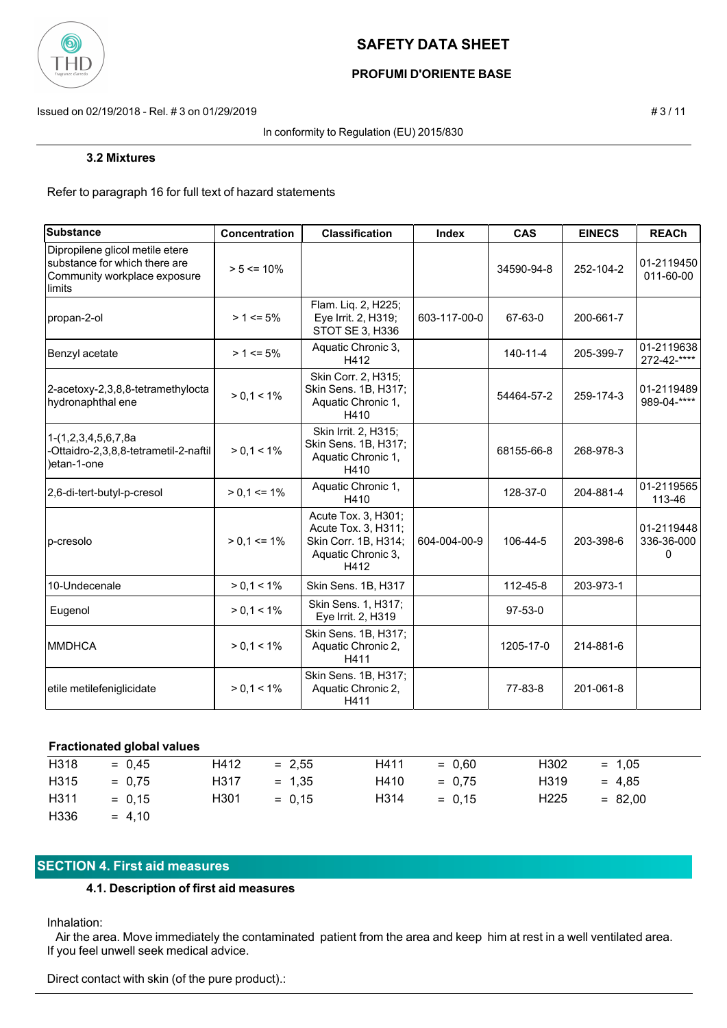

## **PROFUMI D'ORIENTE BASE**

Issued on 02/19/2018 - Rel. # 3 on 01/29/2019 # 3 / 11

In conformity to Regulation (EU) 2015/830

#### **3.2 Mixtures**

Refer to paragraph 16 for full text of hazard statements

| <b>Substance</b>                                                                                           | Concentration   | <b>Classification</b>                                                                            | Index        | <b>CAS</b>     | <b>EINECS</b> | <b>REACh</b>                  |
|------------------------------------------------------------------------------------------------------------|-----------------|--------------------------------------------------------------------------------------------------|--------------|----------------|---------------|-------------------------------|
| Dipropilene glicol metile etere<br>substance for which there are<br>Community workplace exposure<br>limits | $> 5 \le 10\%$  |                                                                                                  |              | 34590-94-8     | 252-104-2     | 01-2119450<br>011-60-00       |
| propan-2-ol                                                                                                | $> 1 \le 5\%$   | Flam. Liq. 2, H225;<br>Eye Irrit. 2, H319;<br>STOT SE 3, H336                                    | 603-117-00-0 | 67-63-0        | 200-661-7     |                               |
| Benzyl acetate                                                                                             | $> 1 \le 5\%$   | Aquatic Chronic 3,<br>H412                                                                       |              | $140 - 11 - 4$ | 205-399-7     | 01-2119638<br>272-42-****     |
| 2-acetoxy-2,3,8,8-tetramethylocta<br>hydronaphthal ene                                                     | $> 0.1 < 1\%$   | Skin Corr. 2, H315;<br>Skin Sens. 1B, H317;<br>Aquatic Chronic 1,<br>H410                        |              | 54464-57-2     | 259-174-3     | 01-2119489<br>989-04-****     |
| 1-(1,2,3,4,5,6,7,8a<br>-Ottaidro-2,3,8,8-tetrametil-2-naftil<br>)etan-1-one                                | $> 0, 1 < 1\%$  | Skin Irrit. 2, H315;<br>Skin Sens. 1B, H317;<br>Aquatic Chronic 1,<br>H410                       |              | 68155-66-8     | 268-978-3     |                               |
| 2,6-di-tert-butyl-p-cresol                                                                                 | $> 0.1 \le 1\%$ | Aquatic Chronic 1,<br>H410                                                                       |              | 128-37-0       | 204-881-4     | 01-2119565<br>113-46          |
| p-cresolo                                                                                                  | $> 0.1 \le 1\%$ | Acute Tox. 3, H301;<br>Acute Tox. 3, H311;<br>Skin Corr. 1B, H314;<br>Aquatic Chronic 3,<br>H412 | 604-004-00-9 | 106-44-5       | 203-398-6     | 01-2119448<br>336-36-000<br>0 |
| 10-Undecenale                                                                                              | $> 0.1 < 1\%$   | Skin Sens. 1B, H317                                                                              |              | 112-45-8       | 203-973-1     |                               |
| Eugenol                                                                                                    | $> 0, 1 < 1\%$  | Skin Sens. 1, H317;<br>Eye Irrit. 2, H319                                                        |              | $97-53-0$      |               |                               |
| <b>MMDHCA</b>                                                                                              | $> 0, 1 < 1\%$  | Skin Sens. 1B, H317;<br>Aquatic Chronic 2,<br>H411                                               |              | 1205-17-0      | 214-881-6     |                               |
| etile metilefeniglicidate                                                                                  | $> 0.1 < 1\%$   | Skin Sens. 1B, H317;<br>Aquatic Chronic 2,<br>H411                                               |              | 77-83-8        | 201-061-8     |                               |

#### **Fractionated global values**

| H318             | $= 0.45$ | H412 | $= 2.55$ | H411 | $= 0.60$ | H <sub>302</sub> | $= 1.05$  |
|------------------|----------|------|----------|------|----------|------------------|-----------|
| H315             | $= 0.75$ | H317 | $= 1.35$ | H410 | $= 0.75$ | H319             | $= 4.85$  |
| H <sub>311</sub> | $= 0.15$ | H301 | $= 0.15$ | H314 | $= 0.15$ | H <sub>225</sub> | $= 82.00$ |
| H336             | $= 4.10$ |      |          |      |          |                  |           |

## **SECTION 4. First aid measures**

#### **4.1. Description of first aid measures**

Inhalation:

 Air the area. Move immediately the contaminated patient from the area and keep him at rest in a well ventilated area. If you feel unwell seek medical advice.

Direct contact with skin (of the pure product).: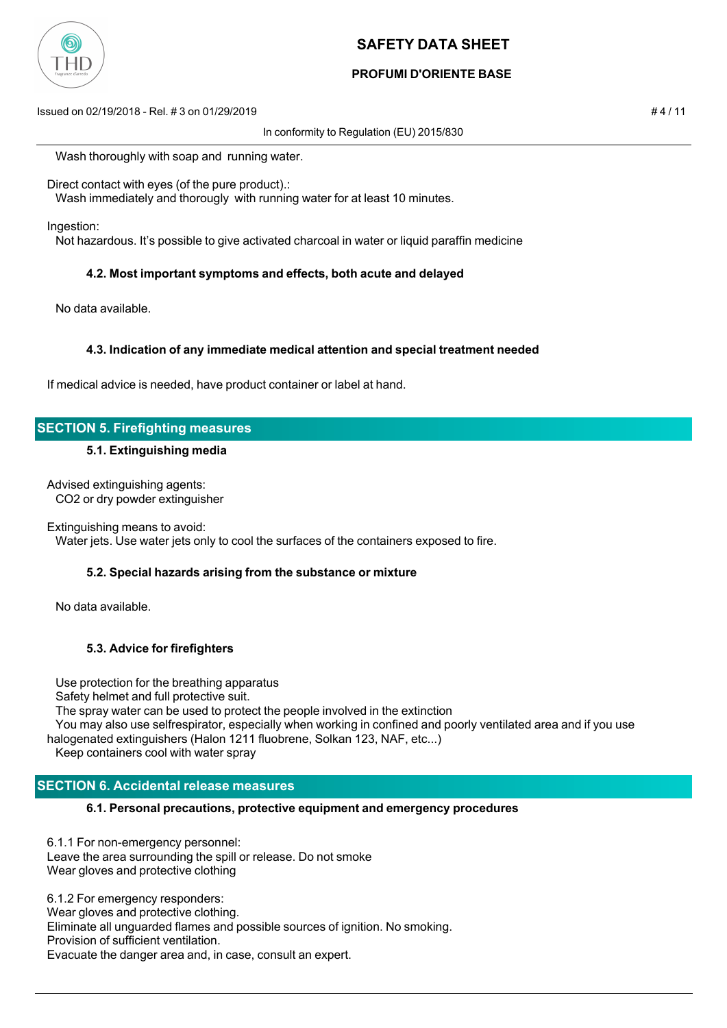

## **PROFUMI D'ORIENTE BASE**

Issued on 02/19/2018 - Rel. # 3 on 01/29/2019 # 4 / 11

In conformity to Regulation (EU) 2015/830

Wash thoroughly with soap and running water.

Direct contact with eyes (of the pure product).:

Wash immediately and thorougly with running water for at least 10 minutes.

Ingestion:

Not hazardous. It's possible to give activated charcoal in water or liquid paraffin medicine

### **4.2. Most important symptoms and effects, both acute and delayed**

No data available.

### **4.3. Indication of any immediate medical attention and special treatment needed**

If medical advice is needed, have product container or label at hand.

## **SECTION 5. Firefighting measures**

### **5.1. Extinguishing media**

Advised extinguishing agents: CO2 or dry powder extinguisher

Extinguishing means to avoid:

Water jets. Use water jets only to cool the surfaces of the containers exposed to fire.

### **5.2. Special hazards arising from the substance or mixture**

No data available.

### **5.3. Advice for firefighters**

 Use protection for the breathing apparatus Safety helmet and full protective suit. The spray water can be used to protect the people involved in the extinction You may also use selfrespirator, especially when working in confined and poorly ventilated area and if you use halogenated extinguishers (Halon 1211 fluobrene, Solkan 123, NAF, etc...)

Keep containers cool with water spray

# **SECTION 6. Accidental release measures**

## **6.1. Personal precautions, protective equipment and emergency procedures**

6.1.1 For non-emergency personnel: Leave the area surrounding the spill or release. Do not smoke Wear gloves and protective clothing

6.1.2 For emergency responders: Wear gloves and protective clothing. Eliminate all unguarded flames and possible sources of ignition. No smoking. Provision of sufficient ventilation. Evacuate the danger area and, in case, consult an expert.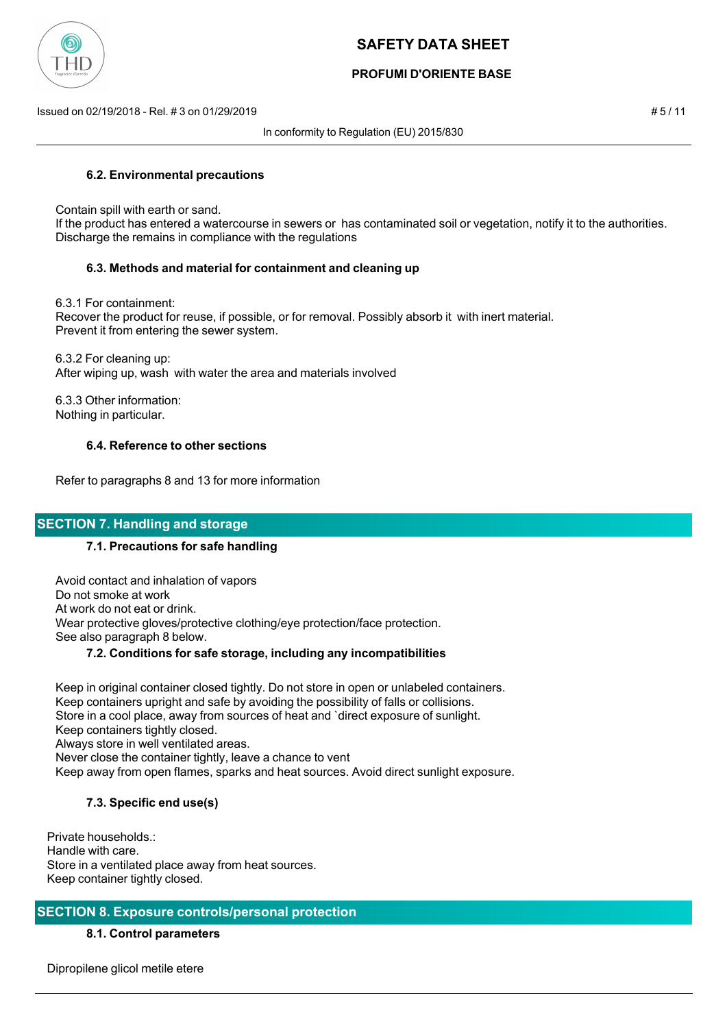

## **PROFUMI D'ORIENTE BASE**

Issued on 02/19/2018 - Rel. # 3 on 01/29/2019 # 5 / 11

In conformity to Regulation (EU) 2015/830

## **6.2. Environmental precautions**

Contain spill with earth or sand.

 If the product has entered a watercourse in sewers or has contaminated soil or vegetation, notify it to the authorities. Discharge the remains in compliance with the regulations

## **6.3. Methods and material for containment and cleaning up**

6.3.1 For containment:

 Recover the product for reuse, if possible, or for removal. Possibly absorb it with inert material. Prevent it from entering the sewer system.

 6.3.2 For cleaning up: After wiping up, wash with water the area and materials involved

 6.3.3 Other information: Nothing in particular.

## **6.4. Reference to other sections**

Refer to paragraphs 8 and 13 for more information

## **SECTION 7. Handling and storage**

### **7.1. Precautions for safe handling**

 Avoid contact and inhalation of vapors Do not smoke at work At work do not eat or drink. Wear protective gloves/protective clothing/eye protection/face protection. See also paragraph 8 below.

### **7.2. Conditions for safe storage, including any incompatibilities**

 Keep in original container closed tightly. Do not store in open or unlabeled containers. Keep containers upright and safe by avoiding the possibility of falls or collisions. Store in a cool place, away from sources of heat and `direct exposure of sunlight. Keep containers tightly closed. Always store in well ventilated areas. Never close the container tightly, leave a chance to vent Keep away from open flames, sparks and heat sources. Avoid direct sunlight exposure.

## **7.3. Specific end use(s)**

Private households.: Handle with care. Store in a ventilated place away from heat sources. Keep container tightly closed.

## **SECTION 8. Exposure controls/personal protection**

### **8.1. Control parameters**

Dipropilene glicol metile etere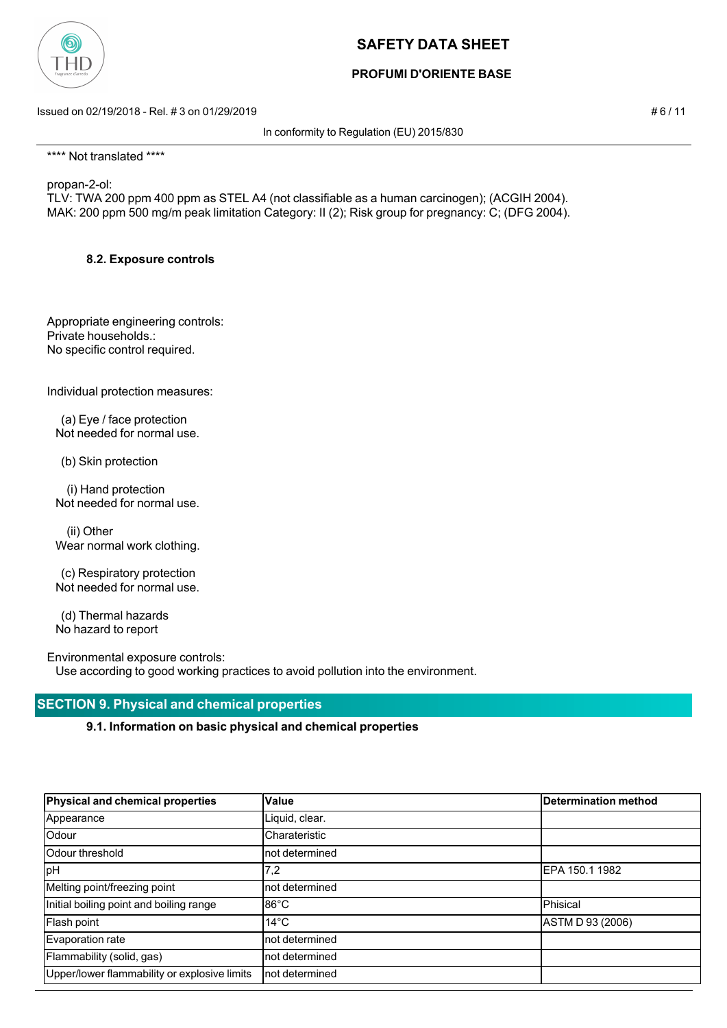

## **PROFUMI D'ORIENTE BASE**

Issued on 02/19/2018 - Rel. # 3 on 01/29/2019 **# 6 / 11**  $\neq 6$  / 11

In conformity to Regulation (EU) 2015/830

\*\*\*\* Not translated \*\*\*\*

propan-2-ol:

TLV: TWA 200 ppm 400 ppm as STEL A4 (not classifiable as a human carcinogen); (ACGIH 2004). MAK: 200 ppm 500 mg/m peak limitation Category: II (2); Risk group for pregnancy: C; (DFG 2004).

## **8.2. Exposure controls**

Appropriate engineering controls: Private households.: No specific control required.

Individual protection measures:

 (a) Eye / face protection Not needed for normal use.

(b) Skin protection

 (i) Hand protection Not needed for normal use.

 (ii) Other Wear normal work clothing.

 (c) Respiratory protection Not needed for normal use.

 (d) Thermal hazards No hazard to report

Environmental exposure controls: Use according to good working practices to avoid pollution into the environment.

## **SECTION 9. Physical and chemical properties**

**9.1. Information on basic physical and chemical properties**

| Physical and chemical properties             | Value           | Determination method |
|----------------------------------------------|-----------------|----------------------|
| Appearance                                   | Liquid, clear.  |                      |
| Odour                                        | Charateristic   |                      |
| lOdour threshold                             | not determined  |                      |
| <b>pH</b>                                    | 7,2             | EPA 150.1 1982       |
| Melting point/freezing point                 | not determined  |                      |
| Initial boiling point and boiling range      | $86^{\circ}$ C  | Phisical             |
| Flash point                                  | $14^{\circ}$ C  | ASTM D 93 (2006)     |
| Evaporation rate                             | not determined  |                      |
| Flammability (solid, gas)                    | not determined  |                      |
| Upper/lower flammability or explosive limits | Inot determined |                      |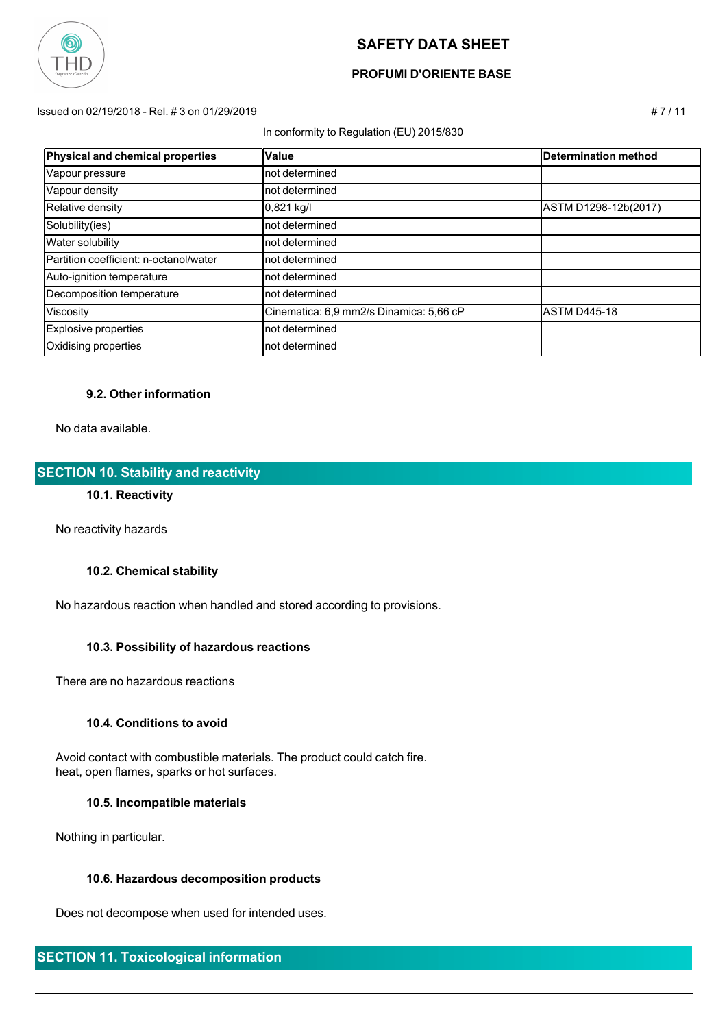

## **PROFUMI D'ORIENTE BASE**

Issued on 02/19/2018 - Rel. # 3 on 01/29/2019 # 7 / 11

#### In conformity to Regulation (EU) 2015/830

| Physical and chemical properties       | <b>Value</b>                            | <b>Determination method</b> |
|----------------------------------------|-----------------------------------------|-----------------------------|
| Vapour pressure                        | Inot determined                         |                             |
| Vapour density                         | Inot determined                         |                             |
| Relative density                       | $0,821$ kg/l                            | ASTM D1298-12b(2017)        |
| Solubility(ies)                        | Inot determined                         |                             |
| <b>Water solubility</b>                | Inot determined                         |                             |
| Partition coefficient: n-octanol/water | Inot determined                         |                             |
| Auto-ignition temperature              | not determined                          |                             |
| Decomposition temperature              | not determined                          |                             |
| Viscosity                              | Cinematica: 6,9 mm2/s Dinamica: 5,66 cP | IASTM D445-18               |
| Explosive properties                   | not determined                          |                             |
| Oxidising properties                   | not determined                          |                             |

### **9.2. Other information**

No data available.

## **SECTION 10. Stability and reactivity**

## **10.1. Reactivity**

No reactivity hazards

### **10.2. Chemical stability**

No hazardous reaction when handled and stored according to provisions.

### **10.3. Possibility of hazardous reactions**

There are no hazardous reactions

#### **10.4. Conditions to avoid**

 Avoid contact with combustible materials. The product could catch fire. heat, open flames, sparks or hot surfaces.

#### **10.5. Incompatible materials**

Nothing in particular.

### **10.6. Hazardous decomposition products**

Does not decompose when used for intended uses.

## **SECTION 11. Toxicological information**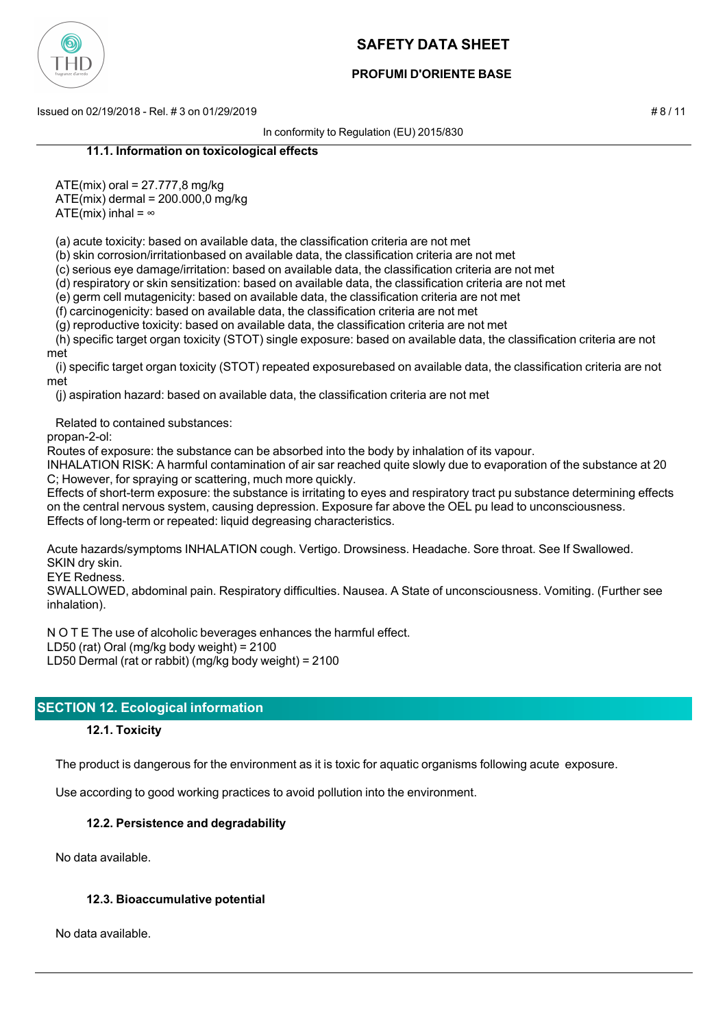

## **PROFUMI D'ORIENTE BASE**

Issued on 02/19/2018 - Rel. # 3 on 01/29/2019 # 8 / 11

In conformity to Regulation (EU) 2015/830

### **11.1. Information on toxicological effects**

ATE(mix) oral = 27.777,8 mg/kg

ATE(mix) dermal = 200.000,0 mg/kg

ATE(mix) inhal =  $\infty$ 

(a) acute toxicity: based on available data, the classification criteria are not met

(b) skin corrosion/irritationbased on available data, the classification criteria are not met

(c) serious eye damage/irritation: based on available data, the classification criteria are not met

(d) respiratory or skin sensitization: based on available data, the classification criteria are not met

(e) germ cell mutagenicity: based on available data, the classification criteria are not met

(f) carcinogenicity: based on available data, the classification criteria are not met

(g) reproductive toxicity: based on available data, the classification criteria are not met

 (h) specific target organ toxicity (STOT) single exposure: based on available data, the classification criteria are not met

 (i) specific target organ toxicity (STOT) repeated exposurebased on available data, the classification criteria are not met

(j) aspiration hazard: based on available data, the classification criteria are not met

Related to contained substances:

propan-2-ol:

Routes of exposure: the substance can be absorbed into the body by inhalation of its vapour.

INHALATION RISK: A harmful contamination of air sar reached quite slowly due to evaporation of the substance at 20 C; However, for spraying or scattering, much more quickly.

Effects of short-term exposure: the substance is irritating to eyes and respiratory tract pu substance determining effects on the central nervous system, causing depression. Exposure far above the OEL pu lead to unconsciousness. Effects of long-term or repeated: liquid degreasing characteristics.

Acute hazards/symptoms INHALATION cough. Vertigo. Drowsiness. Headache. Sore throat. See If Swallowed. SKIN dry skin.

EYE Redness.

SWALLOWED, abdominal pain. Respiratory difficulties. Nausea. A State of unconsciousness. Vomiting. (Further see inhalation).

N O T E The use of alcoholic beverages enhances the harmful effect.

LD50 (rat) Oral (mg/kg body weight) = 2100

LD50 Dermal (rat or rabbit) (mg/kg body weight) = 2100

## **SECTION 12. Ecological information**

### **12.1. Toxicity**

The product is dangerous for the environment as it is toxic for aquatic organisms following acute exposure.

Use according to good working practices to avoid pollution into the environment.

### **12.2. Persistence and degradability**

No data available.

### **12.3. Bioaccumulative potential**

No data available.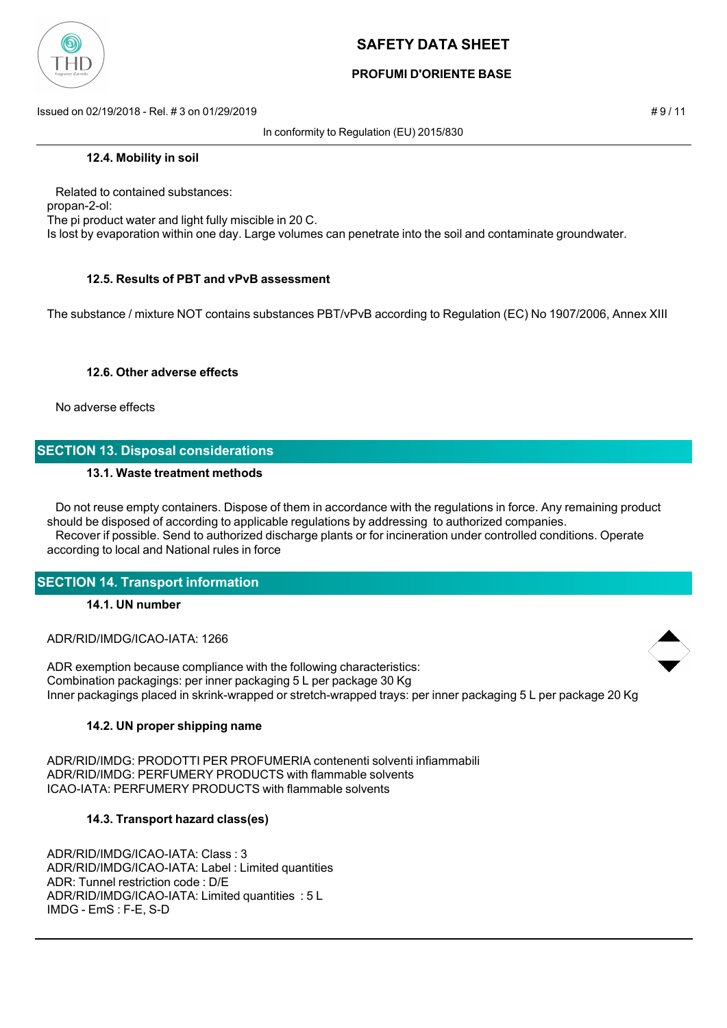

## **PROFUMI D'ORIENTE BASE**

Issued on 02/19/2018 - Rel. # 3 on 01/29/2019 **# 9 / 11**  $\neq$  9 / 11

In conformity to Regulation (EU) 2015/830

#### **12.4. Mobility in soil**

 Related to contained substances: propan-2-ol: The pi product water and light fully miscible in 20 C. Is lost by evaporation within one day. Large volumes can penetrate into the soil and contaminate groundwater.

### **12.5. Results of PBT and vPvB assessment**

The substance / mixture NOT contains substances PBT/vPvB according to Regulation (EC) No 1907/2006, Annex XIII

#### **12.6. Other adverse effects**

No adverse effects

## **SECTION 13. Disposal considerations**

#### **13.1. Waste treatment methods**

 Do not reuse empty containers. Dispose of them in accordance with the regulations in force. Any remaining product should be disposed of according to applicable regulations by addressing to authorized companies. Recover if possible. Send to authorized discharge plants or for incineration under controlled conditions. Operate according to local and National rules in force

### **SECTION 14. Transport information**

### **14.1. UN number**

ADR/RID/IMDG/ICAO-IATA: 1266

ADR exemption because compliance with the following characteristics: Combination packagings: per inner packaging 5 L per package 30 Kg Inner packagings placed in skrink-wrapped or stretch-wrapped trays: per inner packaging 5 L per package 20 Kg

### **14.2. UN proper shipping name**

ADR/RID/IMDG: PRODOTTI PER PROFUMERIA contenenti solventi infiammabili ADR/RID/IMDG: PERFUMERY PRODUCTS with flammable solvents ICAO-IATA: PERFUMERY PRODUCTS with flammable solvents

### **14.3. Transport hazard class(es)**

ADR/RID/IMDG/ICAO-IATA: Class : 3 ADR/RID/IMDG/ICAO-IATA: Label : Limited quantities ADR: Tunnel restriction code : D/E ADR/RID/IMDG/ICAO-IATA: Limited quantities : 5 L IMDG - EmS : F-E, S-D

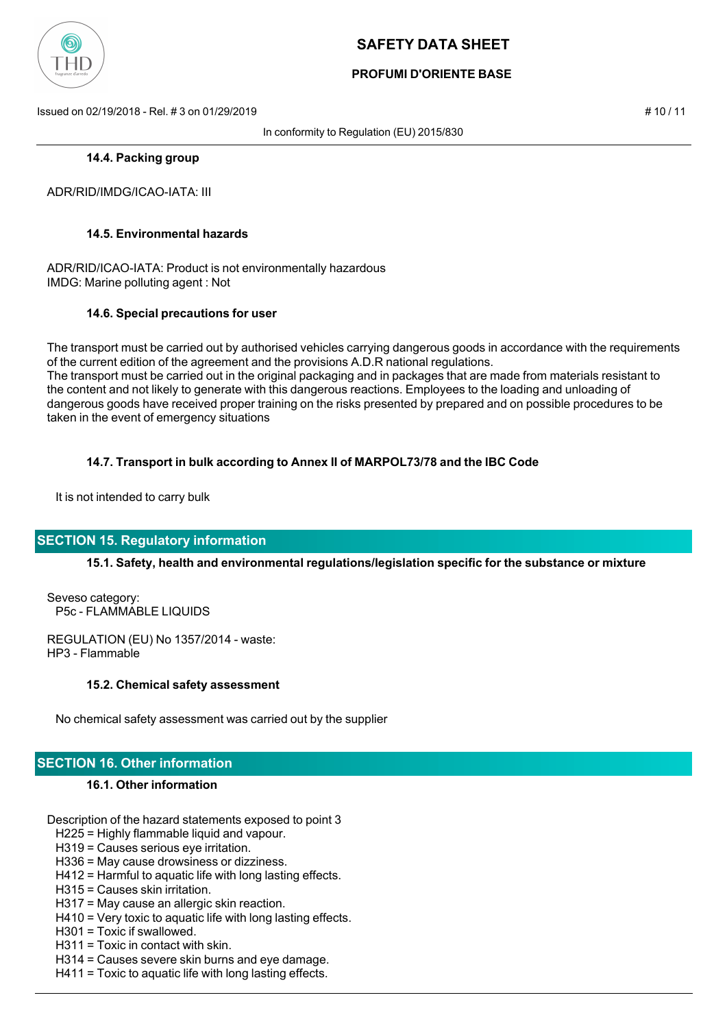

## **PROFUMI D'ORIENTE BASE**

Issued on 02/19/2018 - Rel. # 3 on 01/29/2019 # 10 / 11

In conformity to Regulation (EU) 2015/830

### **14.4. Packing group**

ADR/RID/IMDG/ICAO-IATA: III

### **14.5. Environmental hazards**

ADR/RID/ICAO-IATA: Product is not environmentally hazardous IMDG: Marine polluting agent : Not

#### **14.6. Special precautions for user**

The transport must be carried out by authorised vehicles carrying dangerous goods in accordance with the requirements of the current edition of the agreement and the provisions A.D.R national regulations. The transport must be carried out in the original packaging and in packages that are made from materials resistant to the content and not likely to generate with this dangerous reactions. Employees to the loading and unloading of dangerous goods have received proper training on the risks presented by prepared and on possible procedures to be taken in the event of emergency situations

### **14.7. Transport in bulk according to Annex II of MARPOL73/78 and the IBC Code**

It is not intended to carry bulk

### **SECTION 15. Regulatory information**

### **15.1. Safety, health and environmental regulations/legislation specific for the substance or mixture**

Seveso category: P5c - FLAMMABLE LIQUIDS

REGULATION (EU) No 1357/2014 - waste: HP3 - Flammable

#### **15.2. Chemical safety assessment**

No chemical safety assessment was carried out by the supplier

## **SECTION 16. Other information**

### **16.1. Other information**

Description of the hazard statements exposed to point 3

H225 = Highly flammable liquid and vapour.

H319 = Causes serious eye irritation.

H336 = May cause drowsiness or dizziness.

- H412 = Harmful to aquatic life with long lasting effects.
- H315 = Causes skin irritation.
- H317 = May cause an allergic skin reaction.
- H410 = Very toxic to aquatic life with long lasting effects.
- H301 = Toxic if swallowed.
- H311 = Toxic in contact with skin.
- H314 = Causes severe skin burns and eye damage.
- H411 = Toxic to aquatic life with long lasting effects.